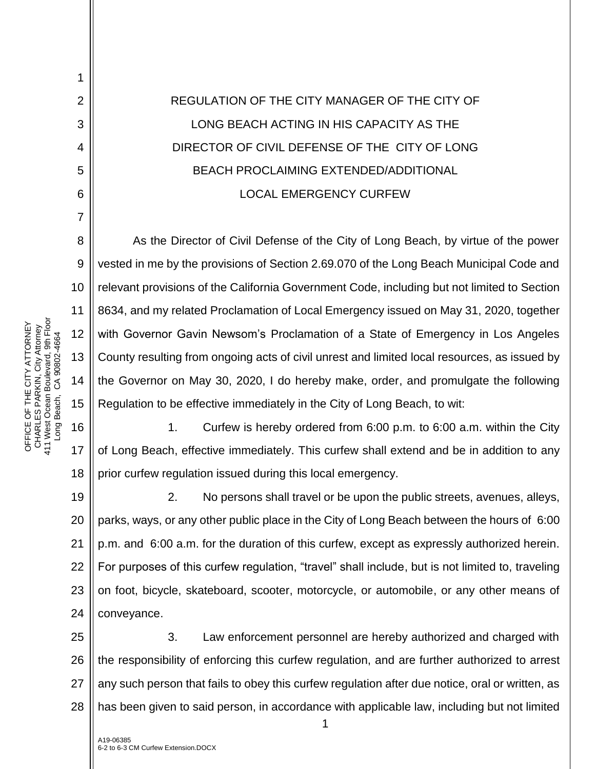## REGULATION OF THE CITY MANAGER OF THE CITY OF LONG BEACH ACTING IN HIS CAPACITY AS THE DIRECTOR OF CIVIL DEFENSE OF THE CITY OF LONG BEACH PROCLAIMING EXTENDED/ADDITIONAL LOCAL EMERGENCY CURFEW

10 12 13 14 15 As the Director of Civil Defense of the City of Long Beach, by virtue of the power vested in me by the provisions of Section 2.69.070 of the Long Beach Municipal Code and relevant provisions of the California Government Code, including but not limited to Section 8634, and my related Proclamation of Local Emergency issued on May 31, 2020, together with Governor Gavin Newsom's Proclamation of a State of Emergency in Los Angeles County resulting from ongoing acts of civil unrest and limited local resources, as issued by the Governor on May 30, 2020, I do hereby make, order, and promulgate the following Regulation to be effective immediately in the City of Long Beach, to wit:

16 17 18 1. Curfew is hereby ordered from 6:00 p.m. to 6:00 a.m. within the City of Long Beach, effective immediately. This curfew shall extend and be in addition to any prior curfew regulation issued during this local emergency.

19 20 21 22 23 24 2. No persons shall travel or be upon the public streets, avenues, alleys, parks, ways, or any other public place in the City of Long Beach between the hours of 6:00 p.m. and 6:00 a.m. for the duration of this curfew, except as expressly authorized herein. For purposes of this curfew regulation, "travel" shall include, but is not limited to, traveling on foot, bicycle, skateboard, scooter, motorcycle, or automobile, or any other means of conveyance.

25 26 27 28 3. Law enforcement personnel are hereby authorized and charged with the responsibility of enforcing this curfew regulation, and are further authorized to arrest any such person that fails to obey this curfew regulation after due notice, oral or written, as has been given to said person, in accordance with applicable law, including but not limited

1

OFFICE OF THE CITY ATTORNEY<br>CHARLES PARKIN, City Attorney<br>411 West Ocean Boulevard, 9th Floor<br>Long Beach, CA 90802-4664 411 West Ocean Boulevard, 9th Floor OFFICE OF THE CITY ATTORNEY CHARLES PARKIN, City Attorney Long Beach, CA 90802-4664 1

2

3

4

5

6

7

8

9

11